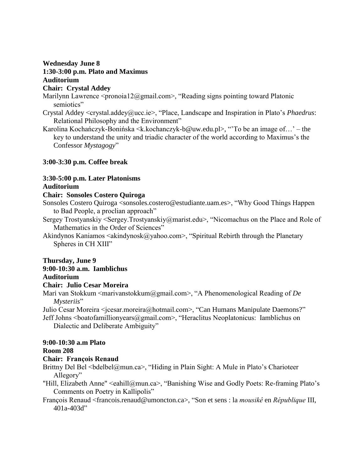# **Wednesday June 8 1:30-3:00 p.m. Plato and Maximus Auditorium**

#### **Chair: Crystal Addey**

- Marilynn Lawrence  $\leq$ pronoia12@gmail.com>, "Reading signs pointing toward Platonic semiotics"
- Crystal Addey <crystal.addey@ucc.ie>, "Place, Landscape and Inspiration in Plato's *Phaedrus*: Relational Philosophy and the Environment"
- Karolina Kochańczyk-Bonińska <k.kochanczyk-b@uw.edu.pl>, "'To be an image of…' the key to understand the unity and triadic character of the world according to Maximus's the Confessor *Mystagogy*"

## **3:00-3:30 p.m. Coffee break**

## **3:30-5:00 p.m. Later Platonisms**

## **Auditorium**

## **Chair: Sonsoles Costero Quiroga**

Sonsoles Costero Quiroga <sonsoles.costero@estudiante.uam.es>, "Why Good Things Happen to Bad People, a proclian approach"

Sergey Trostyanskiy <Sergey.Trostyanskiy@marist.edu>, "Nicomachus on the Place and Role of Mathematics in the Order of Sciences"

Akindynos Kaniamos  $\leq$ akindynosk $\left(\frac{\partial y}{\partial x}\right)$  (Spiritual Rebirth through the Planetary Spheres in CH XIII"

## **Thursday, June 9**

# **9:00-10:30 a.m. Iamblichus**

#### **Auditorium**

## **Chair: Julio Cesar Moreira**

Mari van Stokkum <marivanstokkum@gmail.com>, "A Phenomenological Reading of *De Mysteriis*"

Julio Cesar Moreira <jcesar.moreira@hotmail.com>, "Can Humans Manipulate Daemons?"

Jeff Johns <boatofamillionyears@gmail.com>, "Heraclitus Neoplatonicus: Iamblichus on Dialectic and Deliberate Ambiguity"

## **9:00-10:30 a.m Plato**

## **Room 208**

## **Chair: François Renaud**

Brittny Del Bel <br/>bdelbel@mun.ca>, "Hiding in Plain Sight: A Mule in Plato's Charioteer Allegory"

"Hill, Elizabeth Anne" <eahill@mun.ca>, "Banishing Wise and Godly Poets: Re-framing Plato's Comments on Poetry in Kallipolis"

François Renaud <francois.renaud@umoncton.ca>, "Son et sens : la *mousikê* en *République* III, 401a-403d"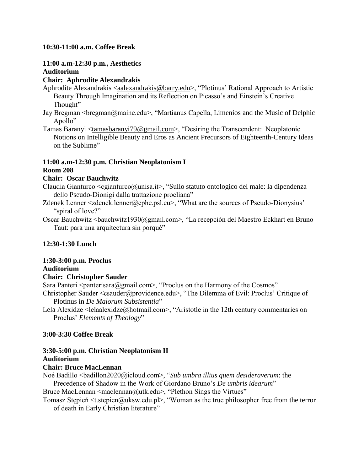## **10:30-11:00 a.m. Coffee Break**

# **11:00 a.m-12:30 p.m., Aesthetics Auditorium**

## **Chair: Aphrodite Alexandrakis**

- Aphrodite Alexandrakis [<aalexandrakis@barry.edu>](mailto:aalexandrakis@barry.edu), "Plotinus' Rational Approach to Artistic Beauty Through Imagination and its Reflection on Picasso's and Einstein's Creative Thought"
- Jay Bregman <br/>bregman@maine.edu>, "Martianus Capella, Limenios and the Music of Delphic Apollo"
- Tamas Baranyi [<tamasbaranyi79@gmail.com>](mailto:tamasbaranyi79@gmail.com), "Desiring the Transcendent: Neoplatonic Notions on Intelligible Beauty and Eros as Ancient Precursors of Eighteenth-Century Ideas on the Sublime"

#### **11:00 a.m-12:30 p.m. Christian Neoplatonism I Room 208**

## **Chair: Oscar Bauchwitz**

- Claudia Gianturco <cgianturco@unisa.it>, "Sullo statuto ontologico del male: la dipendenza dello Pseudo-Dionigi dalla trattazione procliana"
- Zdenek Lenner <zdenek.lenner@ephe.psl.eu>, "What are the sources of Pseudo-Dionysius' "spiral of love?"
- Oscar Bauchwitz <br/>bauchwitz1930@gmail.com>, "La recepción del Maestro Eckhart en Bruno Taut: para una arquitectura sin porqué"

# **12:30-1:30 Lunch**

# **1:30-3:00 p.m. Proclus**

## **Auditorium**

## **Chair: Christopher Sauder**

Sara Panteri  $\epsilon$  panterisara@gmail.com>, "Proclus on the Harmony of the Cosmos"

- Christopher Sauder <csauder@providence.edu>, "The Dilemma of Evil: Proclus' Critique of Plotinus in *De Malorum Subsistentia*"
- Lela Alexidze <lelaalexidze@hotmail.com>, "Aristotle in the 12th century commentaries on Proclus' *Elements of Theology*"

# **3:00-3:30 Coffee Break**

# **3:30-5:00 p.m. Christian Neoplatonism II**

# **Auditorium**

# **Chair: Bruce MacLennan**

Noé Badillo <br/>badillon2020@icloud.com>, "Sub umbra illius quem desideraverum: the Precedence of Shadow in the Work of Giordano Bruno's *De umbris idearum*"

Bruce MacLennan  $\leq$ maclennan $\omega$ utk.edu>, "Plethon Sings the Virtues"

Tomasz Stępień <t.stepien@uksw.edu.pl>, "Woman as the true philosopher free from the terror of death in Early Christian literature"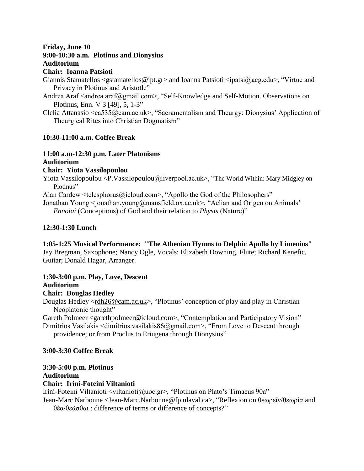## **Friday, June 10**

# **9:00-10:30 a.m. Plotinus and Dionysius**

## **Auditorium**

# **Chair: Ioanna Patsioti**

Giannis Stamatellos [<gstamatellos@ipt.gr>](mailto:gstamatellos@ipt.gr) and Ioanna Patsioti <ipatsi $@$ acg.edu>, "Virtue and Privacy in Plotinus and Aristotle"

- Andrea Araf <andrea.araf@gmail.com>, "Self-Knowledge and Self-Motion. Observations on Plotinus, Enn. V 3 [49], 5, 1-3"
- Clelia Attanasio <ca535@cam.ac.uk>, "Sacramentalism and Theurgy: Dionysius' Application of Theurgical Rites into Christian Dogmatism"

# **10:30-11:00 a.m. Coffee Break**

## **11:00 a.m-12:30 p.m. Later Platonisms Auditorium**

# **Chair: Yiota Vassilopoulou**

Yiota Vassilopoulou <P.Vassilopoulou@liverpool.ac.uk>, "The World Within: Mary Midgley on Plotinus"

Alan Cardew <telesphorus@icloud.com>, "Apollo the God of the Philosophers"

Jonathan Young <jonathan.young@mansfield.ox.ac.uk>, "Aelian and Origen on Animals' *Ennoiai* (Conceptions) of God and their relation to *Physis* (Nature)"

# **12:30-1:30 Lunch**

**1:05-1:25 Musical Performance: "The Athenian Hymns to Delphic Apollo by Limenios"**

Jay Bregman, Saxophone; Nancy Ogle, Vocals; Elizabeth Downing, Flute; Richard Kenefic, Guitar; Donald Hagar, Arranger.

# **1:30-3:00 p.m. Play, Love, Descent**

# **Auditorium**

# **Chair: Douglas Hedley**

Douglas Hedley [<rdh26@cam.ac.uk>](mailto:rdh26@cam.ac.uk), "Plotinus' conception of play and play in Christian Neoplatonic thought"

Gareth Polmeer [<garethpolmeer@icloud.com>](mailto:garethpolmeer@icloud.com), "Contemplation and Participatory Vision" Dimitrios Vasilakis <dimitrios.vasilakis86@gmail.com>, "From Love to Descent through providence; or from Proclus to Eriugena through Dionysius"

# **3:00-3:30 Coffee Break**

# **3:30-5:00 p.m. Plotinus Auditorium**

# **Chair: Irini-Foteini Viltanioti**

Irini-Foteini Viltanioti <viltanioti@uoc.gr>, "Plotinus on Plato's Timaeus 90a"

Jean-Marc Narbonne <Jean-Marc.Narbonne@fp.ulaval.ca>, "Reflexion on θεωρεῖν/θεωρία and θέα/θεᾶσθαι : difference of terms or difference of concepts?"